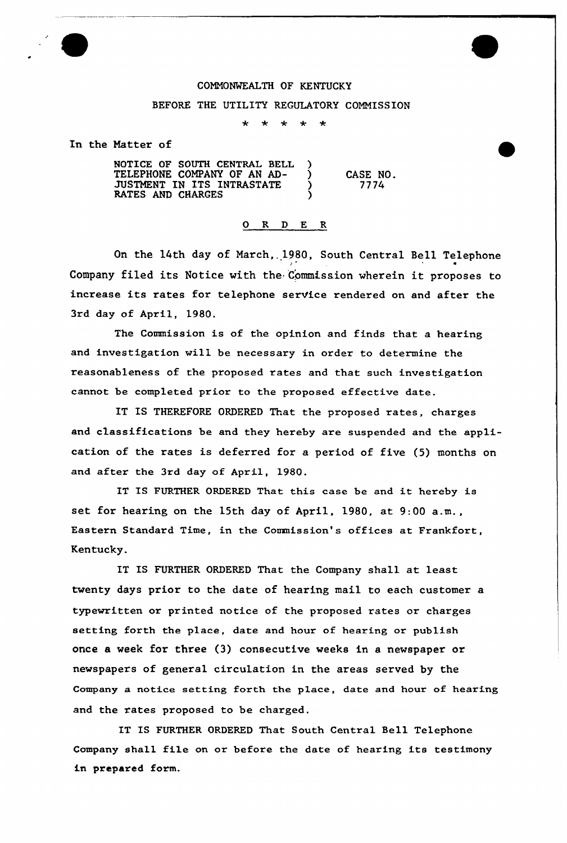## CONM0%KALTH OF KENTUCKY

## BEFORE THE UTILITY REGULATORY COMMISSION

 $\ddot{\textbf{r}}$  $\star$  $\div$ 

In the Natter of

NOTICE OF SOUTH CENTRAL BELL ) TELEPHONE COMPANY OF AN AD-<br>THOMANIE IN ISO INFOLOGIES JUSTMENT IN ITS INTRASTATE RATES AND CHARGES

CASE NO. 7774

## 0 R <sup>D</sup> E R

On the 14th day of March,. 1980, South Central Bell Telephone Company filed its Notice with the Commission wherein it proposes to increase its rates for telephone service rendered on and after the 3rd day of April, 1980.

The Commission is of the opinion and finds that a hearing and investigation will be necessary in ordex to determine the reasonableness of the proposed rates and that such investigation cannot be completed prior to the proposed effective date.

IT IS THEREFORE ORDERED That the proposed rates, charges and classifications be and they hereby are suspended and the application of the rates is deferred for a period of five (5) months on and after the 3rd day of April, 1980.

IT IS FURTHER ORDERED That this case be and it hexeby is set for hearing on the 15th day of April, 1980, at 9:00 a.m., Eastern Standard Time, in the Commission's offices at Frankfort, Kentucky.

IT IS FURTHER ORDERED That the Company shall at least twenty days prior to the date of hearing mail to each customer a typewxitten or printed notice of the pxoposed xates ox charges setting forth the place, date and hour of hearing or publish once a week for three (3) consecutive weeks in a newspaper or newspapers of general circulation in the areas served by the Company a notice setting forth the place, date and hour of hearing and the rates proposed to be charged.

IT IS FURTHER ORDERED That South Central Bell Telephone Company shall file on or before the date of hearing its testimony in prepared form.